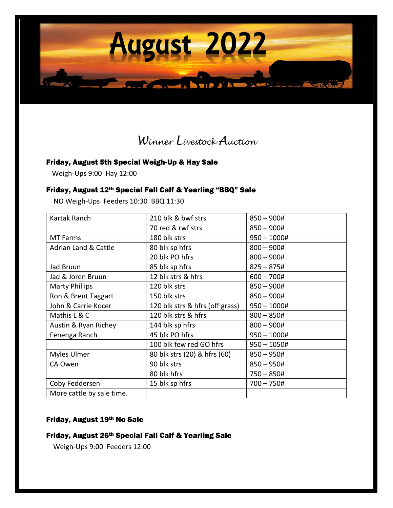

# *Winner Livestock Auction*

### Friday, August 5th Special Weigh-Up & Hay Sale

Weigh-Ups 9:00 Hay 12:00

#### Friday, August 12th Special Fall Calf & Yearling "BBQ" Sale

NO Weigh-Ups Feeders 10:30 BBQ 11:30

| 210 blk & bwf strs              | $850 - 900#$  |
|---------------------------------|---------------|
| 70 red & rwf strs               | $850 - 900#$  |
| 180 blk strs                    | $950 - 1000#$ |
| 80 blk sp hfrs                  | $800 - 900#$  |
| 20 blk PO hfrs                  | $800 - 900#$  |
| 85 blk sp hfrs                  | $825 - 875#$  |
| 12 blk strs & hfrs              | $600 - 700#$  |
| 120 blk strs                    | $850 - 900#$  |
| 150 blk strs                    | $850 - 900#$  |
| 120 blk strs & hfrs (off grass) | $950 - 1000#$ |
| 120 blk strs & hfrs             | $800 - 850#$  |
| 144 blk sp hfrs                 | $800 - 900#$  |
| 45 blk PO hfrs                  | $950 - 1000#$ |
| 100 blk few red GO hfrs         | $950 - 1050#$ |
| 80 blk strs (20) & hfrs (60)    | $850 - 950#$  |
| 90 blk strs                     | $850 - 950#$  |
| 80 blk hfrs                     | $750 - 850#$  |
| 15 blk sp hfrs                  | $700 - 750#$  |
|                                 |               |
|                                 |               |

#### Friday, August 19th No Sale

## Friday, August 26th Special Fall Calf & Yearling Sale

Weigh-Ups 9:00 Feeders 12:00